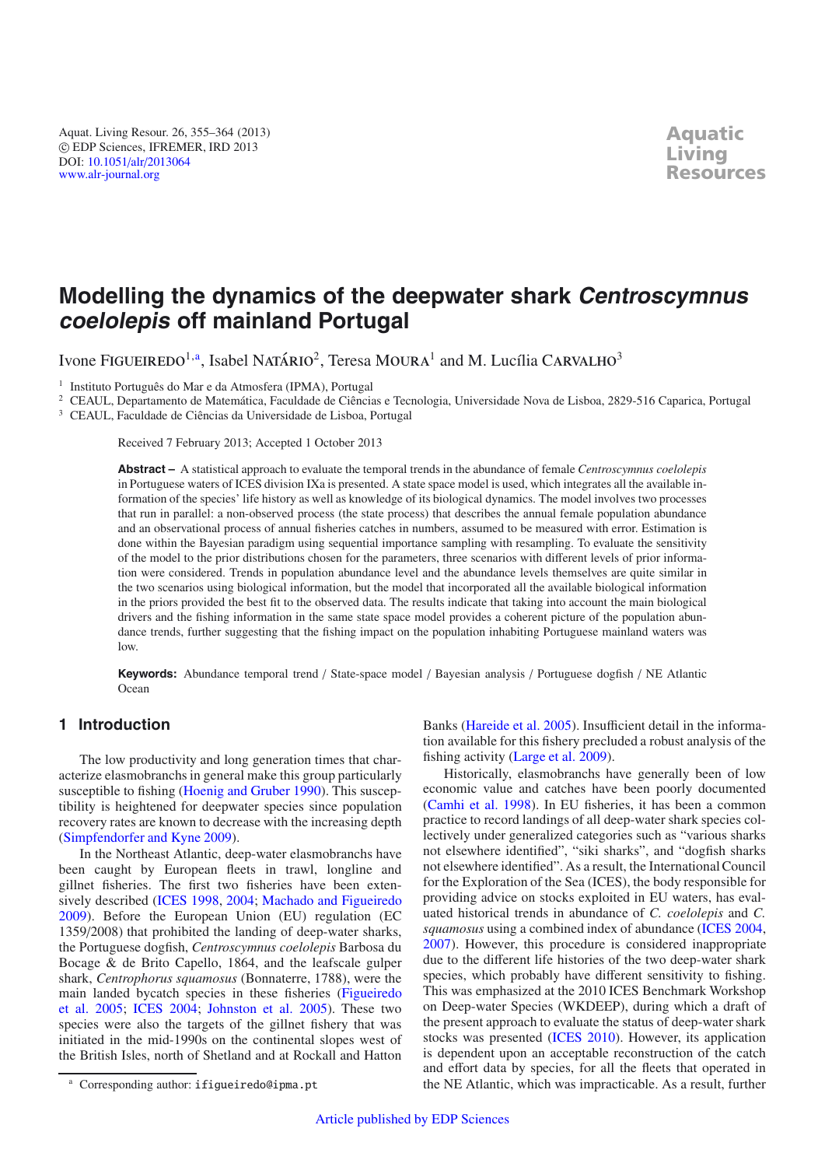Aquat. Living Resour. 26, 355–364 (2013) -c EDP Sciences, IFREMER, IRD 2013 DOI: 10.1051/alr/[2013064](http://dx.doi.org/10.1051/alr/2013064) [www.alr-journal.org](http://www.alr-journal.org)

# **Modelling the dynamics of the deepwater shark Centroscymnus coelolepis off mainland Portugal**

Ivone FIGUEIREDO $^{1,a}$ , Isabel NATÁRIO $^2$ , Teresa MOURA $^1$  and M. Lucília CARVALHO $^3$ 

<sup>1</sup> Instituto Português do Mar e da Atmosfera (IPMA), Portugal

<sup>2</sup> CEAUL, Departamento de Matemática, Faculdade de Ciências e Tecnologia, Universidade Nova de Lisboa, 2829-516 Caparica, Portugal

<sup>3</sup> CEAUL, Faculdade de Ciências da Universidade de Lisboa, Portugal

Received 7 February 2013; Accepted 1 October 2013

**Abstract –** A statistical approach to evaluate the temporal trends in the abundance of female *Centroscymnus coelolepis* in Portuguese waters of ICES division IXa is presented. A state space model is used, which integrates all the available information of the species' life history as well as knowledge of its biological dynamics. The model involves two processes that run in parallel: a non-observed process (the state process) that describes the annual female population abundance and an observational process of annual fisheries catches in numbers, assumed to be measured with error. Estimation is done within the Bayesian paradigm using sequential importance sampling with resampling. To evaluate the sensitivity of the model to the prior distributions chosen for the parameters, three scenarios with different levels of prior information were considered. Trends in population abundance level and the abundance levels themselves are quite similar in the two scenarios using biological information, but the model that incorporated all the available biological information in the priors provided the best fit to the observed data. The results indicate that taking into account the main biological drivers and the fishing information in the same state space model provides a coherent picture of the population abundance trends, further suggesting that the fishing impact on the population inhabiting Portuguese mainland waters was low.

**Keywords:** Abundance temporal trend / State-space model / Bayesian analysis / Portuguese dogfish / NE Atlantic **Ocean** 

# **1 Introduction**

The low productivity and long generation times that characterize elasmobranchs in general make this group particularly susceptible to fishing [\(Hoenig and Gruber 1990\)](#page-9-0). This susceptibility is heightened for deepwater species since population recovery rates are known to decrease with the increasing depth [\(Simpfendorfer and Kyne 2009](#page-9-1)).

In the Northeast Atlantic, deep-water elasmobranchs have been caught by European fleets in trawl, longline and gillnet fisheries. The first two fisheries have been extensively described [\(ICES 1998](#page-9-2), [2004;](#page-9-3) [Machado and Figueiredo](#page-9-4) [2009\)](#page-9-4). Before the European Union (EU) regulation (EC 1359/2008) that prohibited the landing of deep-water sharks, the Portuguese dogfish, *Centroscymnus coelolepis* Barbosa du Bocage & de Brito Capello, 1864, and the leafscale gulper shark, *Centrophorus squamosus* (Bonnaterre, 1788), were the main [landed bycatch species in these fisheries \(](#page-8-0)Figueiredo et al. [2005;](#page-8-0) [ICES 2004;](#page-9-3) [Johnston et al. 2005](#page-9-5)). These two species were also the targets of the gillnet fishery that was initiated in the mid-1990s on the continental slopes west of the British Isles, north of Shetland and at Rockall and Hatton Banks [\(Hareide et al. 2005\)](#page-8-1). Insufficient detail in the information available for this fishery precluded a robust analysis of the fishing activity [\(Large et al. 2009](#page-9-6)).

Historically, elasmobranchs have generally been of low economic value and catches have been poorly documented [\(Camhi et al. 1998](#page-8-2)). In EU fisheries, it has been a common practice to record landings of all deep-water shark species collectively under generalized categories such as "various sharks not elsewhere identified", "siki sharks", and "dogfish sharks not elsewhere identified". As a result, the International Council for the Exploration of the Sea (ICES), the body responsible for providing advice on stocks exploited in EU waters, has evaluated historical trends in abundance of *C. coelolepis* and *C. squamosus* using a combined index of abundance [\(ICES 2004,](#page-9-3) [2007\)](#page-9-7). However, this procedure is considered inappropriate due to the different life histories of the two deep-water shark species, which probably have different sensitivity to fishing. This was emphasized at the 2010 ICES Benchmark Workshop on Deep-water Species (WKDEEP), during which a draft of the present approach to evaluate the status of deep-water shark stocks was presented [\(ICES 2010](#page-9-8)). However, its application is dependent upon an acceptable reconstruction of the catch and effort data by species, for all the fleets that operated in the NE Atlantic, which was impracticable. As a result, further

Corresponding author: ifigueiredo@ipma.pt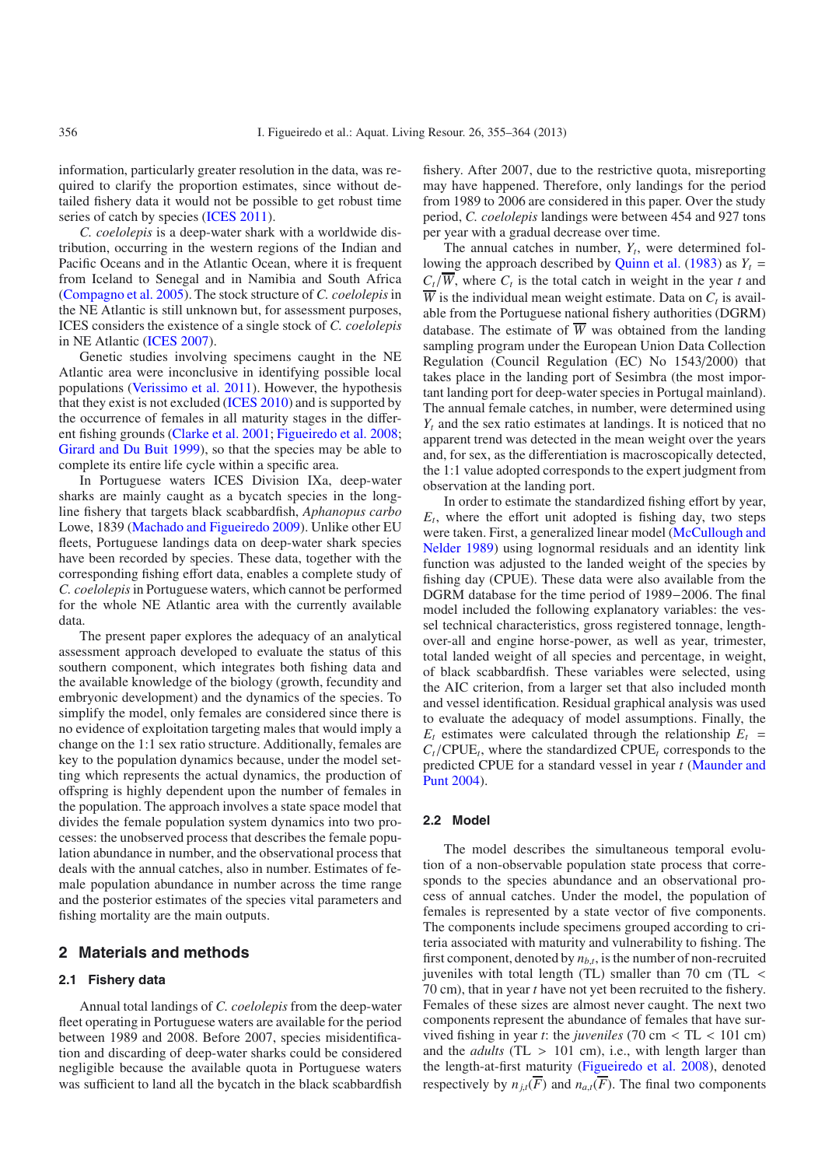information, particularly greater resolution in the data, was required to clarify the proportion estimates, since without detailed fishery data it would not be possible to get robust time series of catch by species [\(ICES 2011](#page-9-9)).

*C. coelolepis* is a deep-water shark with a worldwide distribution, occurring in the western regions of the Indian and Pacific Oceans and in the Atlantic Ocean, where it is frequent from Iceland to Senegal and in Namibia and South Africa [\(Compagno et al. 2005\)](#page-8-3). The stock structure of *C. coelolepis*in the NE Atlantic is still unknown but, for assessment purposes, ICES considers the existence of a single stock of *C. coelolepis* in NE Atlantic [\(ICES 2007\)](#page-9-7).

Genetic studies involving specimens caught in the NE Atlantic area were inconclusive in identifying possible local populations [\(Verissimo et al. 2011](#page-9-10)). However, the hypothesis that they exist is not excluded [\(ICES 2010](#page-9-8)) and is supported by the occurrence of females in all maturity stages in the different fishing grounds [\(Clarke et al. 2001](#page-8-4); [Figueiredo et al. 2008](#page-8-5); [Girard and Du Buit 1999](#page-8-6)), so that the species may be able to complete its entire life cycle within a specific area.

In Portuguese waters ICES Division IXa, deep-water sharks are mainly caught as a bycatch species in the longline fishery that targets black scabbardfish, *Aphanopus carbo* Lowe, 1839 [\(Machado and Figueiredo 2009\)](#page-9-4). Unlike other EU fleets, Portuguese landings data on deep-water shark species have been recorded by species. These data, together with the corresponding fishing effort data, enables a complete study of *C. coelolepis*in Portuguese waters, which cannot be performed for the whole NE Atlantic area with the currently available data.

The present paper explores the adequacy of an analytical assessment approach developed to evaluate the status of this southern component, which integrates both fishing data and the available knowledge of the biology (growth, fecundity and embryonic development) and the dynamics of the species. To simplify the model, only females are considered since there is no evidence of exploitation targeting males that would imply a change on the 1:1 sex ratio structure. Additionally, females are key to the population dynamics because, under the model setting which represents the actual dynamics, the production of offspring is highly dependent upon the number of females in the population. The approach involves a state space model that divides the female population system dynamics into two processes: the unobserved process that describes the female population abundance in number, and the observational process that deals with the annual catches, also in number. Estimates of female population abundance in number across the time range and the posterior estimates of the species vital parameters and fishing mortality are the main outputs.

#### **2 Materials and methods**

#### **2.1 Fishery data**

Annual total landings of *C. coelolepis* from the deep-water fleet operating in Portuguese waters are available for the period between 1989 and 2008. Before 2007, species misidentification and discarding of deep-water sharks could be considered negligible because the available quota in Portuguese waters was sufficient to land all the bycatch in the black scabbardfish

fishery. After 2007, due to the restrictive quota, misreporting may have happened. Therefore, only landings for the period from 1989 to 2006 are considered in this paper. Over the study period, *C. coelolepis* landings were between 454 and 927 tons per year with a gradual decrease over time.

The annual catches in number,  $Y_t$ , were determined fol-lowing the approach described by [Quinn et al.](#page-9-11) [\(1983\)](#page-9-11) as  $Y_t$  =  $C_t/\overline{W}$ , where  $C_t$  is the total catch in weight in the year *t* and  $\overline{W}$  is the individual mean weight estimate. Data on  $C_t$  is available from the Portuguese national fishery authorities (DGRM) database. The estimate of  $\overline{W}$  was obtained from the landing sampling program under the European Union Data Collection Regulation (Council Regulation (EC) No 1543/2000) that takes place in the landing port of Sesimbra (the most important landing port for deep-water species in Portugal mainland). The annual female catches, in number, were determined using *Yt* and the sex ratio estimates at landings. It is noticed that no apparent trend was detected in the mean weight over the years and, for sex, as the differentiation is macroscopically detected, the 1:1 value adopted corresponds to the expert judgment from observation at the landing port.

In order to estimate the standardized fishing effort by year,  $E_t$ , where the effort unit adopted is fishing day, two steps were t[aken.](#page-9-12) [First,](#page-9-12) [a](#page-9-12) [generalized](#page-9-12) [linear](#page-9-12) [model](#page-9-12) [\(](#page-9-12)McCullough and Nelder [1989](#page-9-12)) using lognormal residuals and an identity link function was adjusted to the landed weight of the species by fishing day (CPUE). These data were also available from the DGRM database for the time period of 1989−2006. The final model included the following explanatory variables: the vessel technical characteristics, gross registered tonnage, lengthover-all and engine horse-power, as well as year, trimester, total landed weight of all species and percentage, in weight, of black scabbardfish. These variables were selected, using the AIC criterion, from a larger set that also included month and vessel identification. Residual graphical analysis was used to evaluate the adequacy of model assumptions. Finally, the  $E_t$  estimates were calculated through the relationship  $E_t$  =  $C_t$ /CPUE<sub>t</sub>, where the standardized CPUE<sub>t</sub> corresponds to the pred[icted CPUE for a standard vessel in year](#page-9-13) *t* (Maunder and Punt [2004](#page-9-13)).

#### **2.2 Model**

The model describes the simultaneous temporal evolution of a non-observable population state process that corresponds to the species abundance and an observational process of annual catches. Under the model, the population of females is represented by a state vector of five components. The components include specimens grouped according to criteria associated with maturity and vulnerability to fishing. The first component, denoted by  $n_{b,t}$ , is the number of non-recruited juveniles with total length (TL) smaller than 70 cm (TL < 70 cm), that in year *t* have not yet been recruited to the fishery. Females of these sizes are almost never caught. The next two components represent the abundance of females that have survived fishing in year *<sup>t</sup>*: the *juveniles* (70 cm < TL < 101 cm) and the *adults* (TL > 101 cm), i.e., with length larger than the length-at-first maturity [\(Figueiredo et al. 2008\)](#page-8-5), denoted respectively by  $n_{i,t}(\overline{F})$  and  $n_{a,t}(\overline{F})$ . The final two components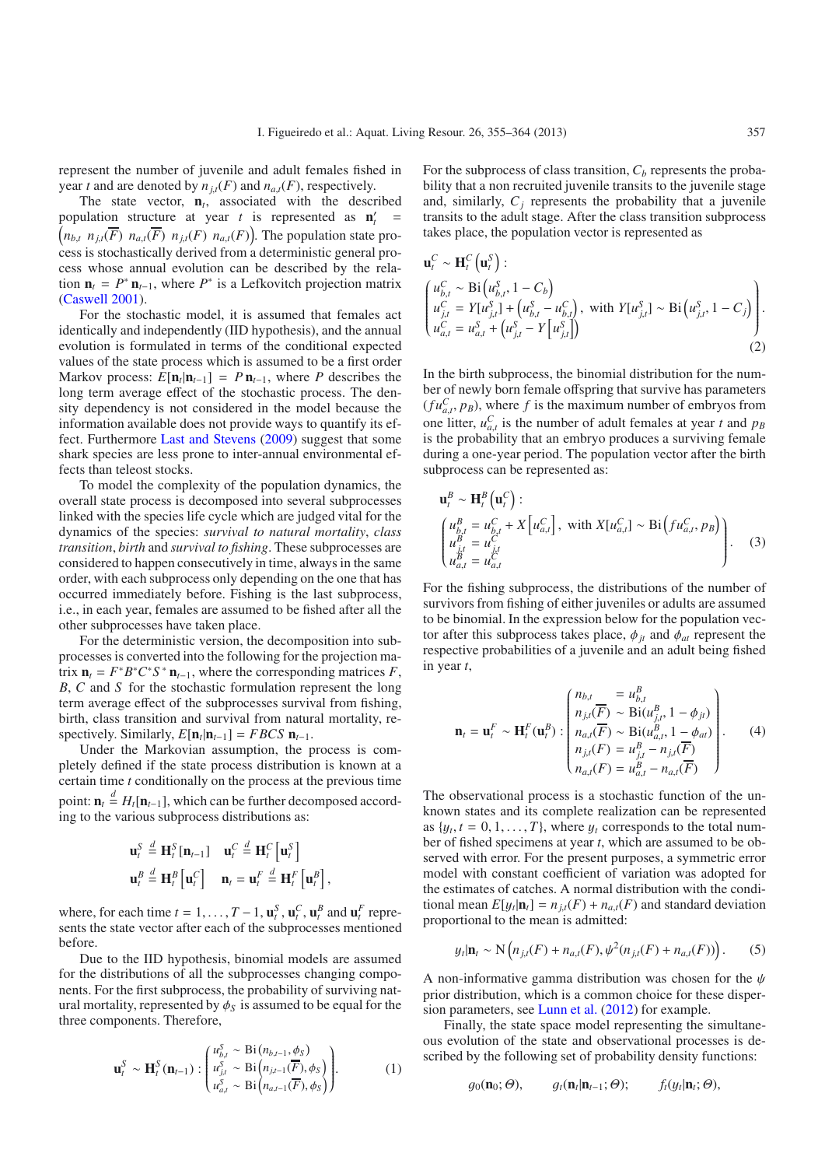represent the number of juvenile and adult females fished in year *t* and are denoted by  $n_{it}(F)$  and  $n_{at}(F)$ , respectively.

The state vector,  $n_t$ , associated with the described population structure at year *t* is represented as  $n'_t$ population structure at year t is represented as  $\mathbf{n}'_t = (n_{b,t} n_{it}(\overline{F}) n_{a,t}(\overline{F}) n_{it}(F) n_{a,t}(F))$ . The population state pro- $(n_{b,t} \ n_{j,t}(\overline{F}) \ n_{a,t}(\overline{F}) \ n_{j,t}(F) \ n_{a,t}(F))$ . The population state process is stochastically derived from a deterministic general process whose annual evolution can be described by the relation  $\mathbf{n}_t = P^* \mathbf{n}_{t-1}$ , where  $P^*$  is a Lefkovitch projection matrix [\(Caswell 2001\)](#page-8-7).

For the stochastic model, it is assumed that females act identically and independently (IID hypothesis), and the annual evolution is formulated in terms of the conditional expected values of the state process which is assumed to be a first order Markov process:  $E[\mathbf{n}_t | \mathbf{n}_{t-1}] = P \mathbf{n}_{t-1}$ , where P describes the long term average effect of the stochastic process. The density dependency is not considered in the model because the information available does not provide ways to quantify its effect. Furthermore [Last and Stevens](#page-9-14) [\(2009](#page-9-14)) suggest that some shark species are less prone to inter-annual environmental effects than teleost stocks.

To model the complexity of the population dynamics, the overall state process is decomposed into several subprocesses linked with the species life cycle which are judged vital for the dynamics of the species: *survival to natural mortality*, *class transition*, *birth* and *survival to fishing*. These subprocesses are considered to happen consecutively in time, always in the same order, with each subprocess only depending on the one that has occurred immediately before. Fishing is the last subprocess, i.e., in each year, females are assumed to be fished after all the other subprocesses have taken place.

For the deterministic version, the decomposition into subprocesses is converted into the following for the projection matrix  $\mathbf{n}_t = F^*B^*C^*S^* \mathbf{n}_{t-1}$ , where the corresponding matrices *F*, *B*, *C* and *S* for the stochastic formulation represent the long term average effect of the subprocesses survival from fishing, birth, class transition and survival from natural mortality, respectively. Similarly,  $E[\mathbf{n}_t | \mathbf{n}_{t-1}] = FBCS \mathbf{n}_{t-1}$ .

Under the Markovian assumption, the process is completely defined if the state process distribution is known at a certain time *t* conditionally on the process at the previous time point:  $\mathbf{n}_t \stackrel{d}{=} H_t[\mathbf{n}_{t-1}]$ , which can be further decomposed accord-<br>ing to the various subprocess distributions as: ing to the various subprocess distributions as:

$$
\mathbf{u}_{t}^{S} \stackrel{d}{=} \mathbf{H}_{t}^{S} [\mathbf{n}_{t-1}] \quad \mathbf{u}_{t}^{C} \stackrel{d}{=} \mathbf{H}_{t}^{C} [\mathbf{u}_{t}^{S}]
$$

$$
\mathbf{u}_{t}^{B} \stackrel{d}{=} \mathbf{H}_{t}^{B} [\mathbf{u}_{t}^{C}] \quad \mathbf{n}_{t} = \mathbf{u}_{t}^{F} \stackrel{d}{=} \mathbf{H}_{t}^{F} [\mathbf{u}_{t}^{B}],
$$

where, for each time  $t = 1, \ldots, T - 1$ ,  $\mathbf{u}_t^S$ ,  $\mathbf{u}_t^C$ ,  $\mathbf{u}_t^B$  and  $\mathbf{u}_t^F$  represents the state vector after each of the subprocesses mentioned sents the state vector after each of the subprocesses mentioned before.

Due to the IID hypothesis, binomial models are assumed for the distributions of all the subprocesses changing components. For the first subprocess, the probability of surviving natural mortality, represented by  $\phi_s$  is assumed to be equal for the three components. Therefore,

$$
\mathbf{u}_{t}^{S} \sim \mathbf{H}_{t}^{S}(\mathbf{n}_{t-1}) : \begin{pmatrix} u_{b,t}^{S} \sim \text{Bi}(n_{b,t-1}, \phi_{S}) \\ u_{j,t}^{S} \sim \text{Bi}(n_{j,t-1}(\overline{F}), \phi_{S}) \\ u_{a,t}^{S} \sim \text{Bi}(n_{a,t-1}(\overline{F}), \phi_{S}) \end{pmatrix} .
$$
 (1)

For the subprocess of class transition,  $C<sub>b</sub>$  represents the probability that a non recruited juvenile transits to the juvenile stage and, similarly,  $C_i$  represents the probability that a juvenile transits to the adult stage. After the class transition subprocess takes place, the population vector is represented as

$$
\mathbf{u}_{t}^{C} \sim \mathbf{H}_{t}^{C} \left( \mathbf{u}_{t}^{S} \right):
$$
\n
$$
\begin{cases}\n u_{b,t}^{C} \sim \text{Bi} \left( u_{b,t}^{S}, 1 - C_{b} \right) \\
u_{j,t}^{C} = Y[u_{j,t}^{S}] + \left( u_{b,t}^{S} - u_{b,t}^{C} \right), \text{ with } Y[u_{j,t}^{S}] \sim \text{Bi} \left( u_{j,t}^{S}, 1 - C_{j} \right) \\
u_{a,t}^{C} = u_{a,t}^{S} + \left( u_{j,t}^{S} - Y \left[ u_{j,t}^{S} \right] \right)\n\end{cases} \tag{2}
$$

In the birth subprocess, the binomial distribution for the number of newly born female offspring that survive has parameters  $(fu_{a,t}^C, p_B)$ , where *f* is the maximum number of embryos from<br>one litter  $u^C$  is the number of adult females at year *t* and no one litter,  $u_{a,t}^C$  is the number of adult females at year *t* and  $p_B$ <br>is the probability that an embryo produces a surviving female is the probability that an embryo produces a surviving female during a one-year period. The population vector after the birth subprocess can be represented as:

$$
\mathbf{u}_t^B \sim \mathbf{H}_t^B \left( \mathbf{u}_t^C \right) : \n\begin{pmatrix} u_{b,t}^B = u_{b,t}^C + X \left[ u_{a,t}^C \right], & \text{with } X[u_{a,t}^C] \sim \text{Bi} \left( fu_{a,t}^C, p_B \right) \\ u_{j,t}^B = u_{j,t}^C \\ u_{a,t}^B = u_{a,t}^C \end{pmatrix} .
$$
\n(3)

For the fishing subprocess, the distributions of the number of survivors from fishing of either juveniles or adults are assumed to be binomial. In the expression below for the population vector after this subprocess takes place,  $\phi_{jt}$  and  $\phi_{at}$  represent the respective probabilities of a juvenile and an adult being fished in year *t*,

$$
\mathbf{n}_{t} = \mathbf{u}_{t}^{F} \sim \mathbf{H}_{t}^{F}(\mathbf{u}_{t}^{B}) : \begin{pmatrix} n_{b,t} & = u_{b,t}^{B} \\ n_{j,t}(\overline{F}) \sim \text{Bi}(u_{j,t}^{B}, 1 - \phi_{jt}) \\ n_{a,t}(\overline{F}) \sim \text{Bi}(u_{a,t}^{B}, 1 - \phi_{at}) \\ n_{j,t}(F) = u_{j,t}^{B} - n_{j,t}(\overline{F}) \\ n_{a,t}(F) = u_{a,t}^{B} - n_{a,t}(\overline{F}) \end{pmatrix} .
$$
 (4)

The observational process is a stochastic function of the unknown states and its complete realization can be represented as  $\{y_t, t = 0, 1, \ldots, T\}$ , where  $y_t$  corresponds to the total number of fished specimens at year *t*, which are assumed to be observed with error. For the present purposes, a symmetric error model with constant coefficient of variation was adopted for the estimates of catches. A normal distribution with the conditional mean  $E[y_t|\mathbf{n}_t] = n_{i,t}(F) + n_{a,t}(F)$  and standard deviation proportional to the mean is admitted:

$$
y_t | \mathbf{n}_t \sim \mathcal{N}\left(n_{j,t}(F) + n_{a,t}(F), \psi^2(n_{j,t}(F) + n_{a,t}(F))\right).
$$
 (5)

A non-informative gamma distribution was chosen for the  $\psi$ prior distribution, which is a common choice for these dispersion parameters, see [Lunn et al.](#page-9-15) [\(2012](#page-9-15)) for example.

Finally, the state space model representing the simultaneous evolution of the state and observational processes is described by the following set of probability density functions:

$$
g_0(\mathbf{n}_0; \Theta), \qquad g_t(\mathbf{n}_t | \mathbf{n}_{t-1}; \Theta); \qquad f_t(y_t | \mathbf{n}_t; \Theta),
$$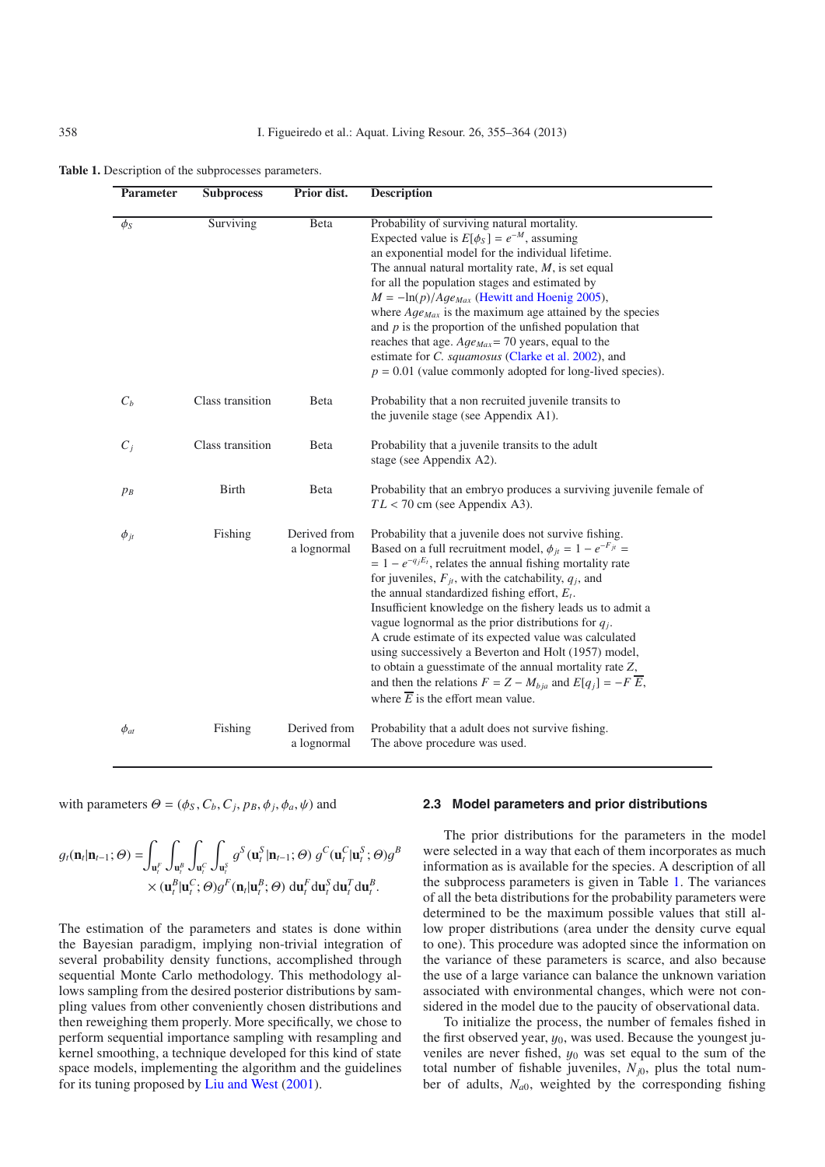<span id="page-3-0"></span>

| Parameter   | <b>Subprocess</b> | Prior dist.                 | <b>Description</b>                                                                                                                                                                                                                                                                                                                                                                                                                                                                                                                                                                                                                                                                                                                                      |
|-------------|-------------------|-----------------------------|---------------------------------------------------------------------------------------------------------------------------------------------------------------------------------------------------------------------------------------------------------------------------------------------------------------------------------------------------------------------------------------------------------------------------------------------------------------------------------------------------------------------------------------------------------------------------------------------------------------------------------------------------------------------------------------------------------------------------------------------------------|
| $\phi_S$    | Surviving         | Beta                        | Probability of surviving natural mortality.<br>Expected value is $E[\phi_S] = e^{-M}$ , assuming<br>an exponential model for the individual lifetime.<br>The annual natural mortality rate, $M$ , is set equal<br>for all the population stages and estimated by<br>$M = -\ln(p)/Age_{Max}$ (Hewitt and Hoenig 2005),<br>where $Age_{Max}$ is the maximum age attained by the species<br>and $p$ is the proportion of the unfished population that<br>reaches that age. $Age_{Max} = 70$ years, equal to the<br>estimate for <i>C. squamosus</i> (Clarke et al. 2002), and<br>$p = 0.01$ (value commonly adopted for long-lived species).                                                                                                               |
| $C_b$       | Class transition  | Beta                        | Probability that a non recruited juvenile transits to<br>the juvenile stage (see Appendix A1).                                                                                                                                                                                                                                                                                                                                                                                                                                                                                                                                                                                                                                                          |
| $C_i$       | Class transition  | Beta                        | Probability that a juvenile transits to the adult<br>stage (see Appendix A2).                                                                                                                                                                                                                                                                                                                                                                                                                                                                                                                                                                                                                                                                           |
| $p_B$       | <b>Birth</b>      | Beta                        | Probability that an embryo produces a surviving juvenile female of<br>$TL < 70$ cm (see Appendix A3).                                                                                                                                                                                                                                                                                                                                                                                                                                                                                                                                                                                                                                                   |
| $\phi_{jt}$ | Fishing           | Derived from<br>a lognormal | Probability that a juvenile does not survive fishing.<br>Based on a full recruitment model, $\phi_{jt} = 1 - e^{-F_{jt}} =$<br>$= 1 - e^{-q_j E_t}$ , relates the annual fishing mortality rate<br>for juveniles, $F_{it}$ , with the catchability, $q_i$ , and<br>the annual standardized fishing effort, $E_t$ .<br>Insufficient knowledge on the fishery leads us to admit a<br>vague lognormal as the prior distributions for $q_i$ .<br>A crude estimate of its expected value was calculated<br>using successively a Beverton and Holt (1957) model,<br>to obtain a guesstimate of the annual mortality rate $Z$ ,<br>and then the relations $F = Z - M_{bja}$ and $E[q_j] = -F \overline{E}$ ,<br>where $\overline{E}$ is the effort mean value. |
| $\phi_{at}$ | Fishing           | Derived from<br>a lognormal | Probability that a adult does not survive fishing.<br>The above procedure was used.                                                                                                                                                                                                                                                                                                                                                                                                                                                                                                                                                                                                                                                                     |

with parameters  $\Theta = (\phi_S, C_b, C_j, p_B, \phi_j, \phi_a, \psi)$  and

$$
g_t(\mathbf{n}_t|\mathbf{n}_{t-1};\Theta) = \int_{\mathbf{u}_t^F} \int_{\mathbf{u}_t^B} \int_{\mathbf{u}_t^C} \int_{\mathbf{u}_t^S} g^S(\mathbf{u}_t^S|\mathbf{n}_{t-1};\Theta) g^C(\mathbf{u}_t^C|\mathbf{u}_t^S;\Theta) g^B
$$

$$
\times (\mathbf{u}_t^B|\mathbf{u}_t^C;\Theta) g^F(\mathbf{n}_t|\mathbf{u}_t^B;\Theta) d\mathbf{u}_t^T d\mathbf{u}_t^S d\mathbf{u}_t^T d\mathbf{u}_t^B.
$$

The estimation of the parameters and states is done within the Bayesian paradigm, implying non-trivial integration of several probability density functions, accomplished through sequential Monte Carlo methodology. This methodology allows sampling from the desired posterior distributions by sampling values from other conveniently chosen distributions and then reweighing them properly. More specifically, we chose to perform sequential importance sampling with resampling and kernel smoothing, a technique developed for this kind of state space models, implementing the algorithm and the guidelines for its tuning proposed by [Liu and West](#page-9-17) [\(2001\)](#page-9-17).

#### **2.3 Model parameters and prior distributions**

The prior distributions for the parameters in the model were selected in a way that each of them incorporates as much information as is available for the species. A description of all the subprocess parameters is given in Table [1.](#page-3-0) The variances of all the beta distributions for the probability parameters were determined to be the maximum possible values that still allow proper distributions (area under the density curve equal to one). This procedure was adopted since the information on the variance of these parameters is scarce, and also because the use of a large variance can balance the unknown variation associated with environmental changes, which were not considered in the model due to the paucity of observational data.

To initialize the process, the number of females fished in the first observed year,  $y_0$ , was used. Because the youngest juveniles are never fished,  $y_0$  was set equal to the sum of the total number of fishable juveniles,  $N_{j0}$ , plus the total number of adults,  $N_{a0}$ , weighted by the corresponding fishing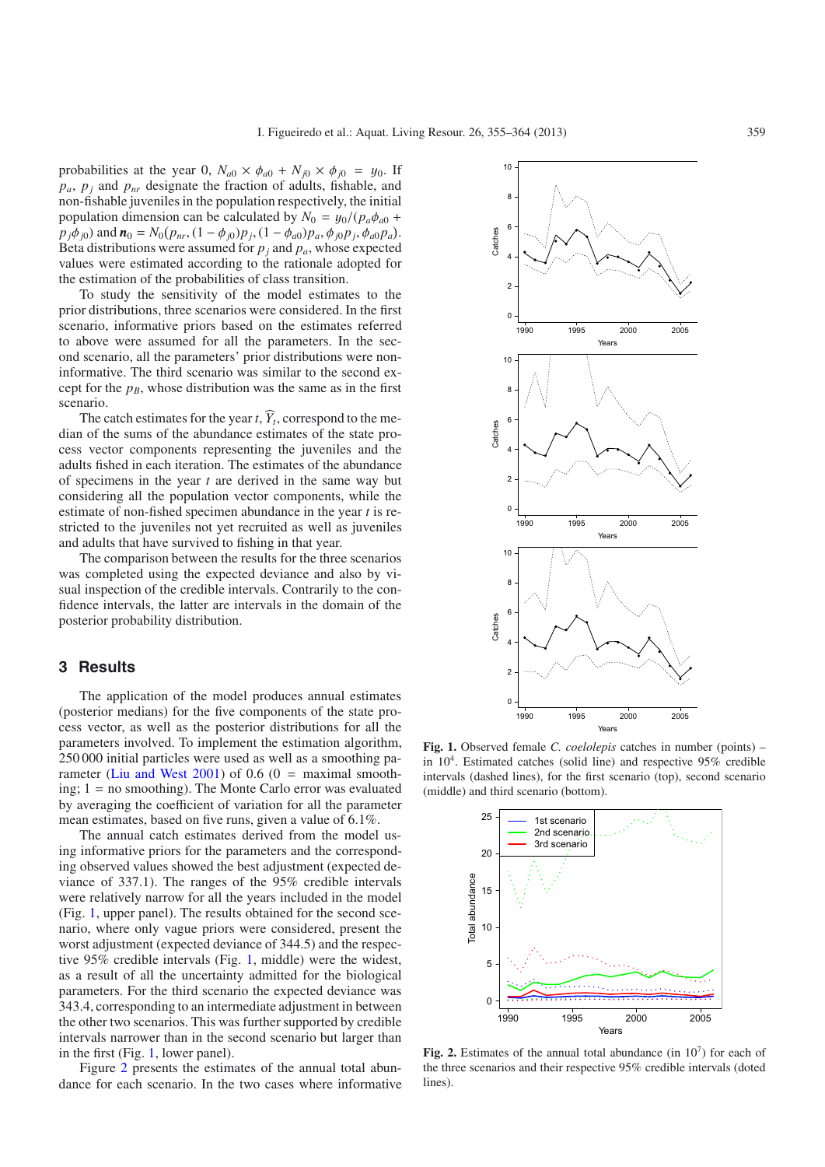probabilities at the year 0,  $N_{a0} \times \phi_{a0} + N_{j0} \times \phi_{j0} = y_0$ . If  $p_a$ ,  $p_i$  and  $p_{nr}$  designate the fraction of adults, fishable, and non-fishable juveniles in the population respectively, the initial population dimension can be calculated by  $N_0 = y_0/(p_a \phi_{a0} + p_a)$  $p_j \phi_{j0}$ ) and  $\mathbf{n}_0 = N_0(p_{nr}, (1 - \phi_{j0})p_j, (1 - \phi_{a0})p_a, \phi_{j0}p_j, \phi_{a0}p_a)$ .<br>Reta distributions were assumed for *p<sub>i</sub>* and *p<sub>p</sub>*, whose expected Beta distributions were assumed for  $p_j$  and  $p_a$ , whose expected values were estimated according to the rationale adopted for the estimation of the probabilities of class transition.

To study the sensitivity of the model estimates to the prior distributions, three scenarios were considered. In the first scenario, informative priors based on the estimates referred to above were assumed for all the parameters. In the second scenario, all the parameters' prior distributions were noninformative. The third scenario was similar to the second except for the  $p_B$ , whose distribution was the same as in the first scenario.

The catch estimates for the year *t*,  $\widehat{Y}_t$ , correspond to the median of the sums of the abundance estimates of the state process vector components representing the juveniles and the adults fished in each iteration. The estimates of the abundance of specimens in the year *t* are derived in the same way but considering all the population vector components, while the estimate of non-fished specimen abundance in the year *t* is restricted to the juveniles not yet recruited as well as juveniles and adults that have survived to fishing in that year.

The comparison between the results for the three scenarios was completed using the expected deviance and also by visual inspection of the credible intervals. Contrarily to the confidence intervals, the latter are intervals in the domain of the posterior probability distribution.

### **3 Results**

The application of the model produces annual estimates (posterior medians) for the five components of the state process vector, as well as the posterior distributions for all the parameters involved. To implement the estimation algorithm, 250 000 initial particles were used as well as a smoothing pa-rameter [\(Liu and West 2001](#page-9-17)) of  $0.6$  ( $0 =$  maximal smoothing; 1 = no smoothing). The Monte Carlo error was evaluated by averaging the coefficient of variation for all the parameter mean estimates, based on five runs, given a value of 6.1%.

The annual catch estimates derived from the model using informative priors for the parameters and the corresponding observed values showed the best adjustment (expected deviance of 337.1). The ranges of the 95% credible intervals were relatively narrow for all the years included in the model (Fig. [1,](#page-4-0) upper panel). The results obtained for the second scenario, where only vague priors were considered, present the worst adjustment (expected deviance of 344.5) and the respective 95% credible intervals (Fig. [1,](#page-4-0) middle) were the widest, as a result of all the uncertainty admitted for the biological parameters. For the third scenario the expected deviance was 343.4, corresponding to an intermediate adjustment in between the other two scenarios. This was further supported by credible intervals narrower than in the second scenario but larger than in the first (Fig. [1,](#page-4-0) lower panel).

Figure [2](#page-4-1) presents the estimates of the annual total abundance for each scenario. In the two cases where informative



<span id="page-4-0"></span>**Fig. 1.** Observed female *C. coelolepis* catches in number (points) – in  $10<sup>4</sup>$ . Estimated catches (solid line) and respective 95% credible intervals (dashed lines), for the first scenario (top), second scenario (middle) and third scenario (bottom).

<span id="page-4-1"></span>

**Fig. 2.** Estimates of the annual total abundance (in  $10<sup>7</sup>$ ) for each of the three scenarios and their respective 95% credible intervals (doted lines).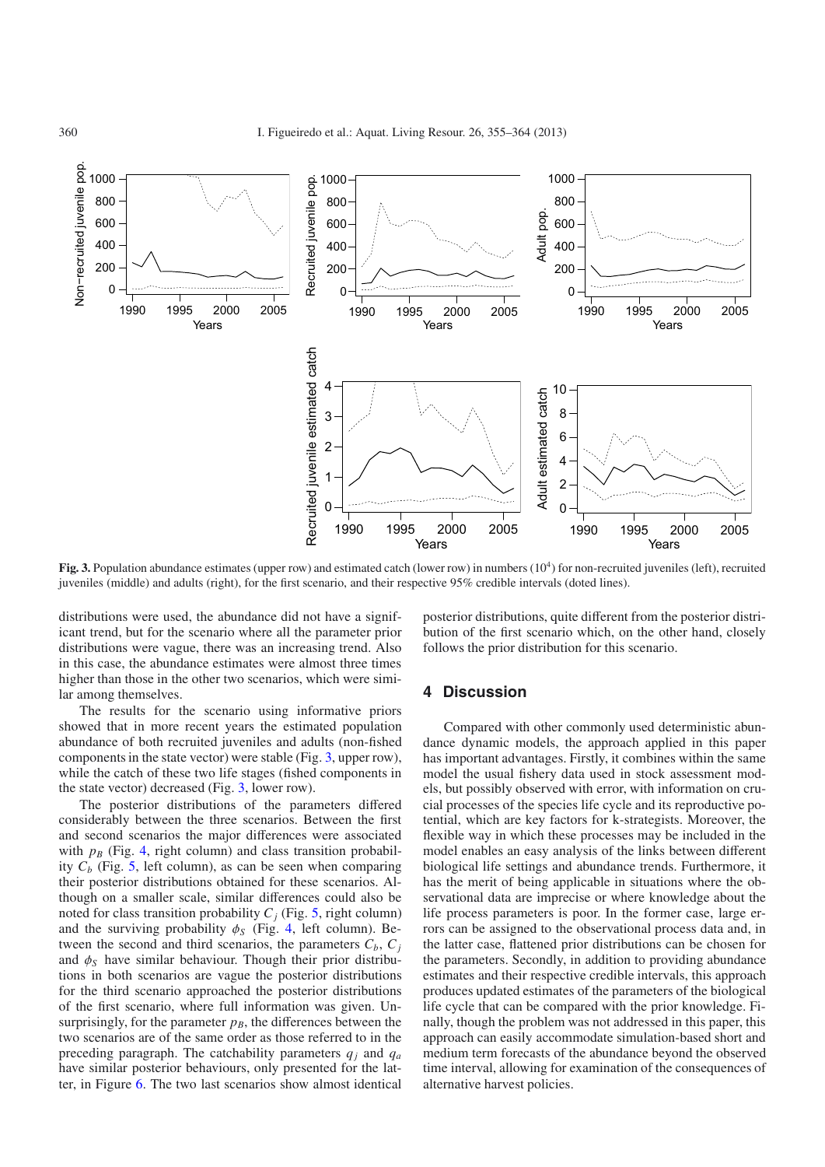

<span id="page-5-0"></span>**Fig. 3.** Population abundance estimates (upper row) and estimated catch (lower row) in numbers (10<sup>4</sup>) for non-recruited juveniles (left), recruited juveniles (middle) and adults (right), for the first scenario, and their respective 95% credible intervals (doted lines).

distributions were used, the abundance did not have a significant trend, but for the scenario where all the parameter prior distributions were vague, there was an increasing trend. Also in this case, the abundance estimates were almost three times higher than those in the other two scenarios, which were similar among themselves.

The results for the scenario using informative priors showed that in more recent years the estimated population abundance of both recruited juveniles and adults (non-fished components in the state vector) were stable (Fig. [3,](#page-5-0) upper row), while the catch of these two life stages (fished components in the state vector) decreased (Fig. [3,](#page-5-0) lower row).

The posterior distributions of the parameters differed considerably between the three scenarios. Between the first and second scenarios the major differences were associated with  $p_B$  (Fig. [4,](#page-6-0) right column) and class transition probability  $C_b$  (Fig. [5,](#page-6-1) left column), as can be seen when comparing their posterior distributions obtained for these scenarios. Although on a smaller scale, similar differences could also be noted for class transition probability  $C_i$  (Fig. [5,](#page-6-1) right column) and the surviving probability  $\phi_S$  (Fig. [4,](#page-6-0) left column). Between the second and third scenarios, the parameters  $C_b$ ,  $C_i$ and  $\phi_S$  have similar behaviour. Though their prior distributions in both scenarios are vague the posterior distributions for the third scenario approached the posterior distributions of the first scenario, where full information was given. Unsurprisingly, for the parameter  $p_B$ , the differences between the two scenarios are of the same order as those referred to in the preceding paragraph. The catchability parameters  $q_i$  and  $q_a$ have similar posterior behaviours, only presented for the latter, in Figure [6.](#page-7-0) The two last scenarios show almost identical posterior distributions, quite different from the posterior distribution of the first scenario which, on the other hand, closely follows the prior distribution for this scenario.

## **4 Discussion**

Compared with other commonly used deterministic abundance dynamic models, the approach applied in this paper has important advantages. Firstly, it combines within the same model the usual fishery data used in stock assessment models, but possibly observed with error, with information on crucial processes of the species life cycle and its reproductive potential, which are key factors for k-strategists. Moreover, the flexible way in which these processes may be included in the model enables an easy analysis of the links between different biological life settings and abundance trends. Furthermore, it has the merit of being applicable in situations where the observational data are imprecise or where knowledge about the life process parameters is poor. In the former case, large errors can be assigned to the observational process data and, in the latter case, flattened prior distributions can be chosen for the parameters. Secondly, in addition to providing abundance estimates and their respective credible intervals, this approach produces updated estimates of the parameters of the biological life cycle that can be compared with the prior knowledge. Finally, though the problem was not addressed in this paper, this approach can easily accommodate simulation-based short and medium term forecasts of the abundance beyond the observed time interval, allowing for examination of the consequences of alternative harvest policies.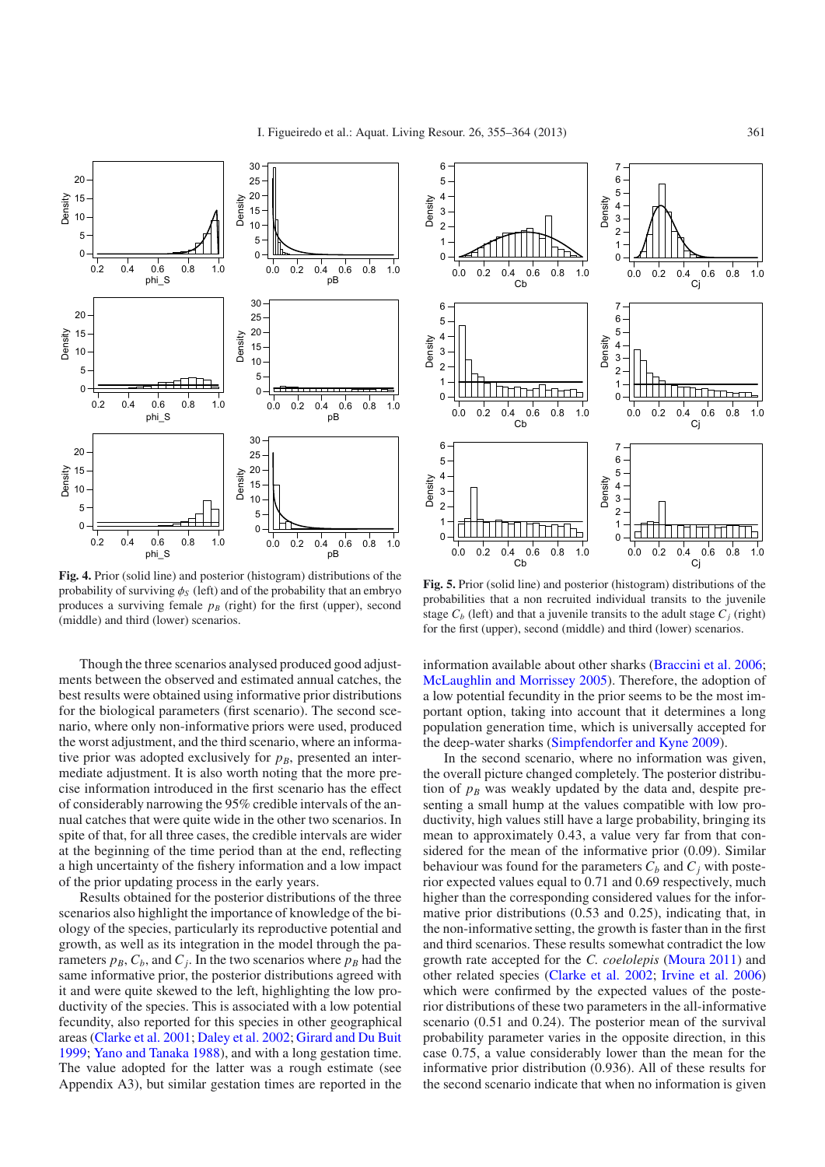

<span id="page-6-0"></span>**Fig. 4.** Prior (solid line) and posterior (histogram) distributions of the probability of surviving  $\phi_s$  (left) and of the probability that an embryo produces a surviving female  $p_B$  (right) for the first (upper), second (middle) and third (lower) scenarios.

Though the three scenarios analysed produced good adjustments between the observed and estimated annual catches, the best results were obtained using informative prior distributions for the biological parameters (first scenario). The second scenario, where only non-informative priors were used, produced the worst adjustment, and the third scenario, where an informative prior was adopted exclusively for  $p_B$ , presented an intermediate adjustment. It is also worth noting that the more precise information introduced in the first scenario has the effect of considerably narrowing the 95% credible intervals of the annual catches that were quite wide in the other two scenarios. In spite of that, for all three cases, the credible intervals are wider at the beginning of the time period than at the end, reflecting a high uncertainty of the fishery information and a low impact of the prior updating process in the early years.

Results obtained for the posterior distributions of the three scenarios also highlight the importance of knowledge of the biology of the species, particularly its reproductive potential and growth, as well as its integration in the model through the parameters  $p_B$ ,  $C_b$ , and  $C_i$ . In the two scenarios where  $p_B$  had the same informative prior, the posterior distributions agreed with it and were quite skewed to the left, highlighting the low productivity of the species. This is associated with a low potential fecundity, also reported for this species in other geographical areas [\(Clarke et al. 2001](#page-8-4); [Daley et al. 2002](#page-8-9); [Girard and Du Buit](#page-8-6) [1999;](#page-8-6) [Yano and Tanaka 1988\)](#page-9-18), and with a long gestation time. The value adopted for the latter was a rough estimate (see Appendix A3), but similar gestation times are reported in the



<span id="page-6-1"></span>**Fig. 5.** Prior (solid line) and posterior (histogram) distributions of the probabilities that a non recruited individual transits to the juvenile stage  $C_b$  (left) and that a juvenile transits to the adult stage  $C_i$  (right) for the first (upper), second (middle) and third (lower) scenarios.

information available about other sharks [\(Braccini et al. 2006](#page-8-10); [McLaughlin and Morrissey 2005](#page-9-19)). Therefore, the adoption of a low potential fecundity in the prior seems to be the most important option, taking into account that it determines a long population generation time, which is universally accepted for the deep-water sharks [\(Simpfendorfer and Kyne 2009](#page-9-1)).

In the second scenario, where no information was given, the overall picture changed completely. The posterior distribution of  $p_B$  was weakly updated by the data and, despite presenting a small hump at the values compatible with low productivity, high values still have a large probability, bringing its mean to approximately 0.43, a value very far from that considered for the mean of the informative prior  $(0.09)$ . Similar behaviour was found for the parameters  $C_b$  and  $C_j$  with posterior expected values equal to 0.71 and 0.69 respectively, much higher than the corresponding considered values for the informative prior distributions (0.53 and 0.25), indicating that, in the non-informative setting, the growth is faster than in the first and third scenarios. These results somewhat contradict the low growth rate accepted for the *C. coelolepis* [\(Moura 2011](#page-9-20)) and other related species [\(Clarke et al. 2002](#page-8-8); [Irvine et al. 2006\)](#page-9-21) which were confirmed by the expected values of the posterior distributions of these two parameters in the all-informative scenario (0.51 and 0.24). The posterior mean of the survival probability parameter varies in the opposite direction, in this case 0.75, a value considerably lower than the mean for the informative prior distribution (0.936). All of these results for the second scenario indicate that when no information is given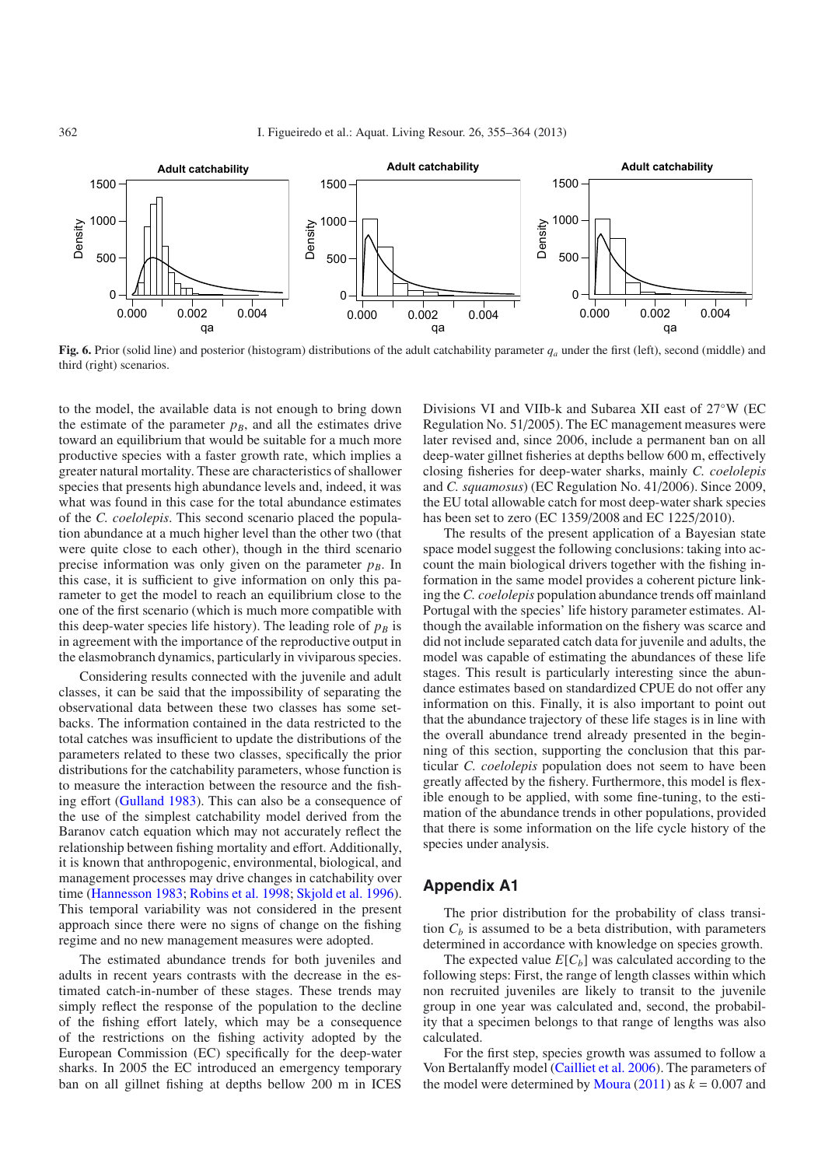<span id="page-7-0"></span>

**Fig. 6.** Prior (solid line) and posterior (histogram) distributions of the adult catchability parameter *qa* under the first (left), second (middle) and third (right) scenarios.

to the model, the available data is not enough to bring down the estimate of the parameter  $p_B$ , and all the estimates drive toward an equilibrium that would be suitable for a much more productive species with a faster growth rate, which implies a greater natural mortality. These are characteristics of shallower species that presents high abundance levels and, indeed, it was what was found in this case for the total abundance estimates of the *C. coelolepis*. This second scenario placed the population abundance at a much higher level than the other two (that were quite close to each other), though in the third scenario precise information was only given on the parameter  $p_B$ . In this case, it is sufficient to give information on only this parameter to get the model to reach an equilibrium close to the one of the first scenario (which is much more compatible with this deep-water species life history). The leading role of  $p_B$  is in agreement with the importance of the reproductive output in the elasmobranch dynamics, particularly in viviparous species.

Considering results connected with the juvenile and adult classes, it can be said that the impossibility of separating the observational data between these two classes has some setbacks. The information contained in the data restricted to the total catches was insufficient to update the distributions of the parameters related to these two classes, specifically the prior distributions for the catchability parameters, whose function is to measure the interaction between the resource and the fishing effort [\(Gulland 1983\)](#page-8-11). This can also be a consequence of the use of the simplest catchability model derived from the Baranov catch equation which may not accurately reflect the relationship between fishing mortality and effort. Additionally, it is known that anthropogenic, environmental, biological, and management processes may drive changes in catchability over time [\(Hannesson 1983](#page-8-12); [Robins et al. 1998](#page-9-22); [Skjold et al. 1996](#page-9-23)). This temporal variability was not considered in the present approach since there were no signs of change on the fishing regime and no new management measures were adopted.

The estimated abundance trends for both juveniles and adults in recent years contrasts with the decrease in the estimated catch-in-number of these stages. These trends may simply reflect the response of the population to the decline of the fishing effort lately, which may be a consequence of the restrictions on the fishing activity adopted by the European Commission (EC) specifically for the deep-water sharks. In 2005 the EC introduced an emergency temporary ban on all gillnet fishing at depths bellow 200 m in ICES

Divisions VI and VIIb-k and Subarea XII east of 27◦W (EC Regulation No. 51/2005). The EC management measures were later revised and, since 2006, include a permanent ban on all deep-water gillnet fisheries at depths bellow 600 m, effectively closing fisheries for deep-water sharks, mainly *C. coelolepis* and *C. squamosus*) (EC Regulation No. 41/2006). Since 2009, the EU total allowable catch for most deep-water shark species has been set to zero (EC 1359/2008 and EC 1225/2010).

The results of the present application of a Bayesian state space model suggest the following conclusions: taking into account the main biological drivers together with the fishing information in the same model provides a coherent picture linking the *C. coelolepis* population abundance trends off mainland Portugal with the species' life history parameter estimates. Although the available information on the fishery was scarce and did not include separated catch data for juvenile and adults, the model was capable of estimating the abundances of these life stages. This result is particularly interesting since the abundance estimates based on standardized CPUE do not offer any information on this. Finally, it is also important to point out that the abundance trajectory of these life stages is in line with the overall abundance trend already presented in the beginning of this section, supporting the conclusion that this particular *C. coelolepis* population does not seem to have been greatly affected by the fishery. Furthermore, this model is flexible enough to be applied, with some fine-tuning, to the estimation of the abundance trends in other populations, provided that there is some information on the life cycle history of the species under analysis.

### **Appendix A1**

The prior distribution for the probability of class transition  $C_b$  is assumed to be a beta distribution, with parameters determined in accordance with knowledge on species growth.

The expected value  $E[C_b]$  was calculated according to the following steps: First, the range of length classes within which non recruited juveniles are likely to transit to the juvenile group in one year was calculated and, second, the probability that a specimen belongs to that range of lengths was also calculated.

For the first step, species growth was assumed to follow a Von Bertalanffy model [\(Cailliet et al. 2006](#page-8-13)). The parameters of the model were determined by [Moura](#page-9-20)  $(2011)$  as  $k = 0.007$  and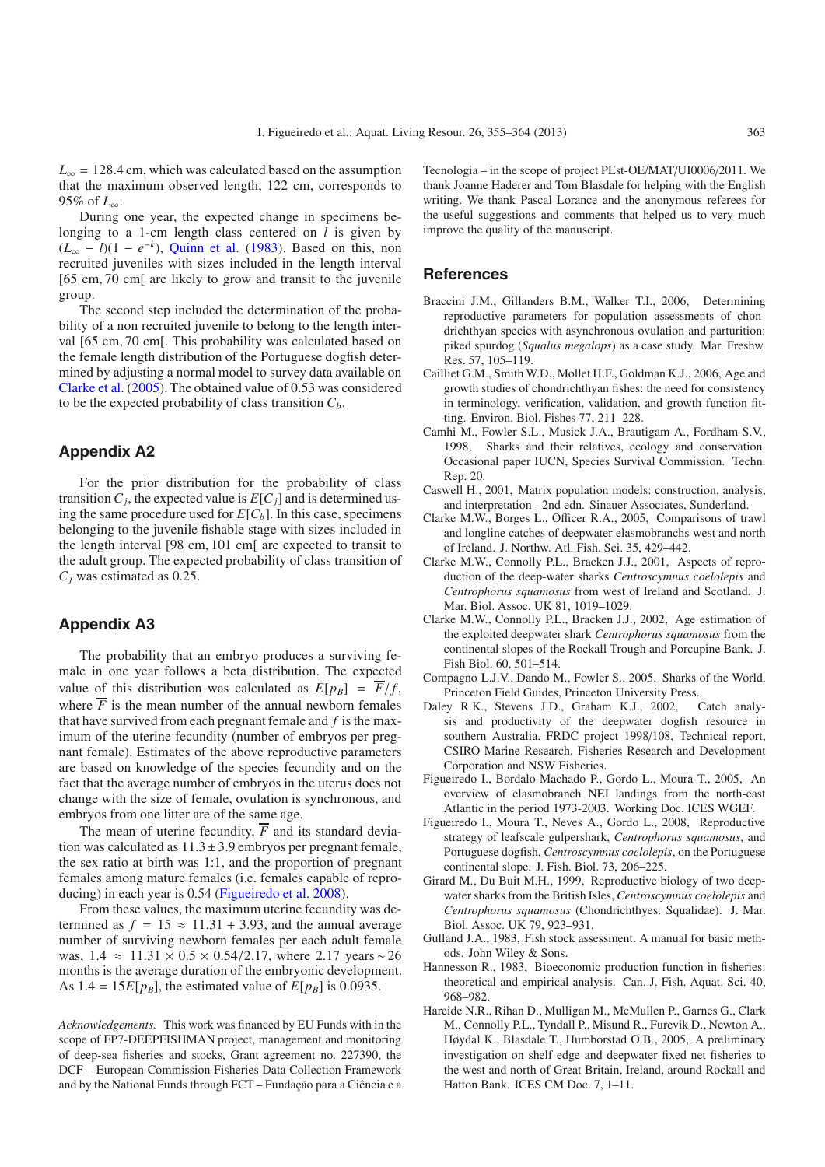$L_{\infty}$  = 128.4 cm, which was calculated based on the assumption that the maximum observed length, 122 cm, corresponds to 95% of *L*∞.

During one year, the expected change in specimens belonging to a 1-cm length class centered on *l* is given by  $(L_{\infty} - l)(1 - e^{-k})$ , [Quinn et al.](#page-9-11) [\(1983\)](#page-9-11). Based on this, non recruited juveniles with sizes included in the length interval [65 cm, 70 cm[ are likely to grow and transit to the juvenile group.

The second step included the determination of the probability of a non recruited juvenile to belong to the length interval [65 cm, 70 cm[. This probability was calculated based on the female length distribution of the Portuguese dogfish determined by adjusting a normal model to survey data available on [Clarke et al.](#page-8-14) [\(2005](#page-8-14)). The obtained value of 0.53 was considered to be the expected probability of class transition  $C_b$ .

### **Appendix A2**

For the prior distribution for the probability of class transition  $C_j$ , the expected value is  $E[C_j]$  and is determined using the same procedure used for  $E[C_b]$ . In this case, specimens belonging to the juvenile fishable stage with sizes included in the length interval [98 cm, 101 cm[ are expected to transit to the adult group. The expected probability of class transition of *Cj* was estimated as 0.25.

#### **Appendix A3**

The probability that an embryo produces a surviving female in one year follows a beta distribution. The expected value of this distribution was calculated as  $E[p_B] = \overline{F}/f$ , where  $\overline{F}$  is the mean number of the annual newborn females that have survived from each pregnant female and *f* is the maximum of the uterine fecundity (number of embryos per pregnant female). Estimates of the above reproductive parameters are based on knowledge of the species fecundity and on the fact that the average number of embryos in the uterus does not change with the size of female, ovulation is synchronous, and embryos from one litter are of the same age.

The mean of uterine fecundity,  $\overline{F}$  and its standard deviation was calculated as  $11.3 \pm 3.9$  embryos per pregnant female, the sex ratio at birth was 1:1, and the proportion of pregnant females among mature females (i.e. females capable of reproducing) in each year is 0.54 [\(Figueiredo et al. 2008](#page-8-5)).

From these values, the maximum uterine fecundity was determined as  $f = 15 \approx 11.31 + 3.93$ , and the annual average number of surviving newborn females per each adult female was,  $1.4 \approx 11.31 \times 0.5 \times 0.54/2.17$ , where 2.17 years ~ 26 months is the average duration of the embryonic development. As  $1.4 = 15E[p_B]$ , the estimated value of  $E[p_B]$  is 0.0935.

*Acknowledgements.* This work was financed by EU Funds with in the scope of FP7-DEEPFISHMAN project, management and monitoring of deep-sea fisheries and stocks, Grant agreement no. 227390, the DCF – European Commission Fisheries Data Collection Framework and by the National Funds through FCT – Fundação para a Ciência e a Tecnologia – in the scope of project PEst-OE/MAT/UI0006/2011. We thank Joanne Haderer and Tom Blasdale for helping with the English writing. We thank Pascal Lorance and the anonymous referees for the useful suggestions and comments that helped us to very much improve the quality of the manuscript.

### **References**

- <span id="page-8-10"></span>Braccini J.M., Gillanders B.M., Walker T.I., 2006, Determining reproductive parameters for population assessments of chondrichthyan species with asynchronous ovulation and parturition: piked spurdog (*Squalus megalops*) as a case study. Mar. Freshw. Res. 57, 105–119.
- <span id="page-8-13"></span>Cailliet G.M., Smith W.D., Mollet H.F., Goldman K.J., 2006, Age and growth studies of chondrichthyan fishes: the need for consistency in terminology, verification, validation, and growth function fitting. Environ. Biol. Fishes 77, 211–228.
- <span id="page-8-2"></span>Camhi M., Fowler S.L., Musick J.A., Brautigam A., Fordham S.V., 1998, Sharks and their relatives, ecology and conservation. Occasional paper IUCN, Species Survival Commission. Techn. Rep. 20.
- <span id="page-8-7"></span>Caswell H., 2001, Matrix population models: construction, analysis, and interpretation - 2nd edn. Sinauer Associates, Sunderland.
- <span id="page-8-14"></span>Clarke M.W., Borges L., Officer R.A., 2005, Comparisons of trawl and longline catches of deepwater elasmobranchs west and north of Ireland. J. Northw. Atl. Fish. Sci. 35, 429–442.
- <span id="page-8-4"></span>Clarke M.W., Connolly P.L., Bracken J.J., 2001, Aspects of reproduction of the deep-water sharks *Centroscymnus coelolepis* and *Centrophorus squamosus* from west of Ireland and Scotland. J. Mar. Biol. Assoc. UK 81, 1019–1029.
- <span id="page-8-8"></span>Clarke M.W., Connolly P.L., Bracken J.J., 2002, Age estimation of the exploited deepwater shark *Centrophorus squamosus* from the continental slopes of the Rockall Trough and Porcupine Bank. J. Fish Biol. 60, 501–514.
- <span id="page-8-3"></span>Compagno L.J.V., Dando M., Fowler S., 2005, Sharks of the World. Princeton Field Guides, Princeton University Press.
- <span id="page-8-9"></span>Daley R.K., Stevens J.D., Graham K.J., 2002, Catch analysis and productivity of the deepwater dogfish resource in southern Australia. FRDC project 1998/108, Technical report, CSIRO Marine Research, Fisheries Research and Development Corporation and NSW Fisheries.
- <span id="page-8-0"></span>Figueiredo I., Bordalo-Machado P., Gordo L., Moura T., 2005, An overview of elasmobranch NEI landings from the north-east Atlantic in the period 1973-2003. Working Doc. ICES WGEF.
- <span id="page-8-5"></span>Figueiredo I., Moura T., Neves A., Gordo L., 2008, Reproductive strategy of leafscale gulpershark, *Centrophorus squamosus*, and Portuguese dogfish, *Centroscymnus coelolepis*, on the Portuguese continental slope. J. Fish. Biol. 73, 206–225.
- <span id="page-8-6"></span>Girard M., Du Buit M.H., 1999, Reproductive biology of two deepwater sharks from the British Isles, *Centroscymnus coelolepis* and *Centrophorus squamosus* (Chondrichthyes: Squalidae). J. Mar. Biol. Assoc. UK 79, 923–931.
- <span id="page-8-11"></span>Gulland J.A., 1983, Fish stock assessment. A manual for basic methods. John Wiley & Sons.
- <span id="page-8-12"></span>Hannesson R., 1983, Bioeconomic production function in fisheries: theoretical and empirical analysis. Can. J. Fish. Aquat. Sci. 40, 968–982.
- <span id="page-8-1"></span>Hareide N.R., Rihan D., Mulligan M., McMullen P., Garnes G., Clark M., Connolly P.L., Tyndall P., Misund R., Furevik D., Newton A., Høydal K., Blasdale T., Humborstad O.B., 2005, A preliminary investigation on shelf edge and deepwater fixed net fisheries to the west and north of Great Britain, Ireland, around Rockall and Hatton Bank. ICES CM Doc. 7, 1–11.